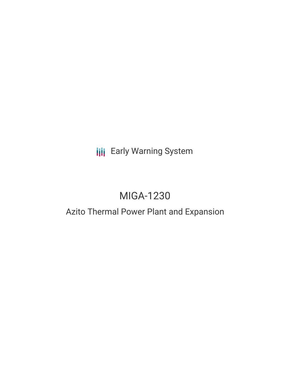## **III** Early Warning System

# MIGA-1230

## Azito Thermal Power Plant and Expansion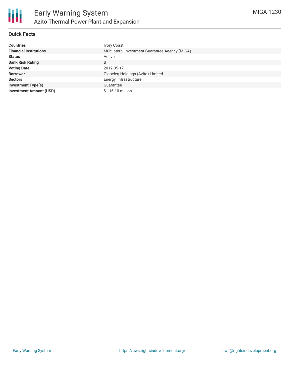

## **Quick Facts**

| <b>Countries</b>               | <b>Ivory Coast</b>                              |
|--------------------------------|-------------------------------------------------|
| <b>Financial Institutions</b>  | Multilateral Investment Guarantee Agency (MIGA) |
| <b>Status</b>                  | Active                                          |
| <b>Bank Risk Rating</b>        | B                                               |
| <b>Voting Date</b>             | 2012-05-17                                      |
| <b>Borrower</b>                | Globeleg Holdings (Azito) Limited               |
| <b>Sectors</b>                 | Energy, Infrastructure                          |
| <b>Investment Type(s)</b>      | Guarantee                                       |
| <b>Investment Amount (USD)</b> | \$116.10 million                                |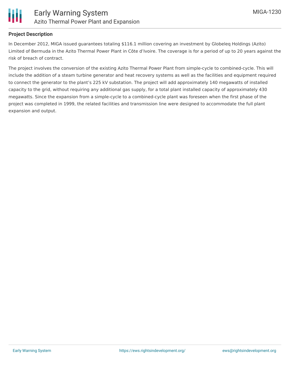

## **Project Description**

In December 2012, MIGA issued guarantees totaling \$116.1 million covering an investment by Globeleq Holdings (Azito) Limited of Bermuda in the Azito Thermal Power Plant in Côte d'Ivoire. The coverage is for a period of up to 20 years against the risk of breach of contract.

The project involves the conversion of the existing Azito Thermal Power Plant from simple-cycle to combined-cycle. This will include the addition of a steam turbine generator and heat recovery systems as well as the facilities and equipment required to connect the generator to the plant's 225 kV substation. The project will add approximately 140 megawatts of installed capacity to the grid, without requiring any additional gas supply, for a total plant installed capacity of approximately 430 megawatts. Since the expansion from a simple-cycle to a combined-cycle plant was foreseen when the first phase of the project was completed in 1999, the related facilities and transmission line were designed to accommodate the full plant expansion and output.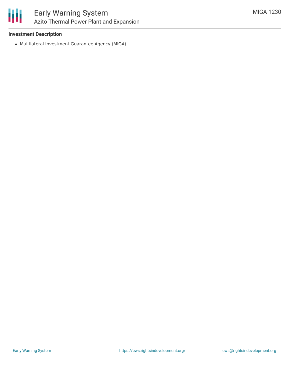

### **Investment Description**

Multilateral Investment Guarantee Agency (MIGA)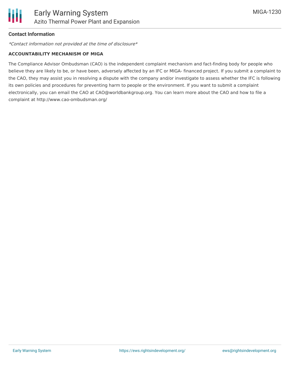

### **Contact Information**

\*Contact information not provided at the time of disclosure\*

#### **ACCOUNTABILITY MECHANISM OF MIGA**

The Compliance Advisor Ombudsman (CAO) is the independent complaint mechanism and fact-finding body for people who believe they are likely to be, or have been, adversely affected by an IFC or MIGA- financed project. If you submit a complaint to the CAO, they may assist you in resolving a dispute with the company and/or investigate to assess whether the IFC is following its own policies and procedures for preventing harm to people or the environment. If you want to submit a complaint electronically, you can email the CAO at CAO@worldbankgroup.org. You can learn more about the CAO and how to file a complaint at http://www.cao-ombudsman.org/